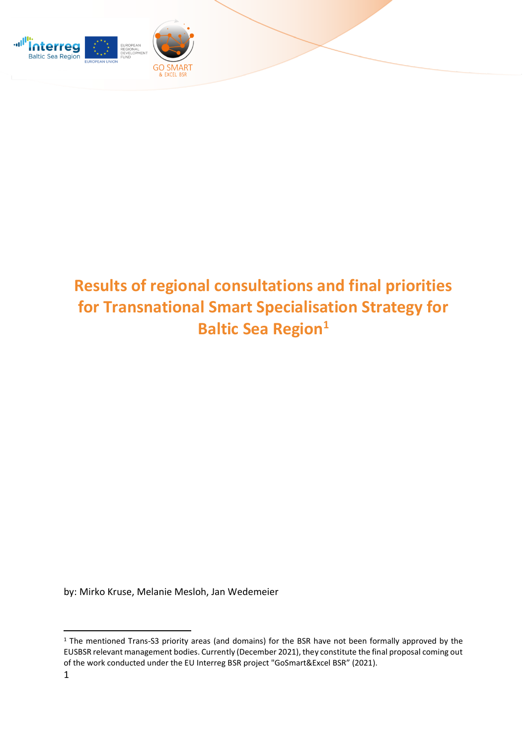

## **Results of regional consultations and final priorities for Transnational Smart Specialisation Strategy for Baltic Sea Region<sup>1</sup>**

by: Mirko Kruse, Melanie Mesloh, Jan Wedemeier

<sup>&</sup>lt;sup>1</sup> The mentioned Trans-S3 priority areas (and domains) for the BSR have not been formally approved by the EUSBSR relevant management bodies. Currently (December 2021), they constitute the final proposal coming out of the work conducted under the EU Interreg BSR project "GoSmart&Excel BSR" (2021).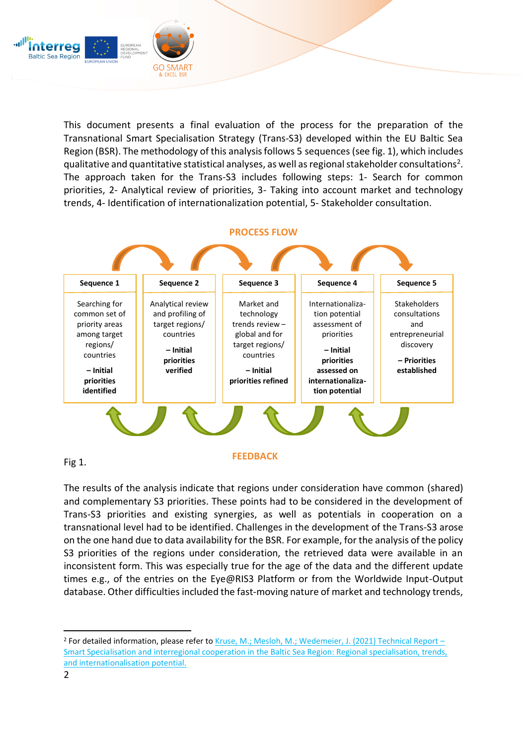

This document presents a final evaluation of the process for the preparation of the Transnational Smart Specialisation Strategy (Trans-S3) developed within the EU Baltic Sea Region (BSR). The methodology of this analysis follows 5 sequences (see fig. 1), which includes qualitative and quantitative statistical analyses, as well as regional stakeholder consultations<sup>2</sup>. The approach taken for the Trans-S3 includes following steps: 1- Search for common priorities, 2- Analytical review of priorities, 3- Taking into account market and technology trends, 4- Identification of internationalization potential, 5- Stakeholder consultation.



The results of the analysis indicate that regions under consideration have common (shared) and complementary S3 priorities. These points had to be considered in the development of Trans-S3 priorities and existing synergies, as well as potentials in cooperation on a transnational level had to be identified. Challenges in the development of the Trans-S3 arose on the one hand due to data availability for the BSR. For example, for the analysis of the policy S3 priorities of the regions under consideration, the retrieved data were available in an inconsistent form. This was especially true for the age of the data and the different update times e.g., of the entries on the Eye@RIS3 Platform or from the Worldwide Input-Output database. Other difficulties included the fast-moving nature of market and technology trends,

<sup>&</sup>lt;sup>2</sup> For detailed information, please refer to [Kruse, M.; Mesloh, M.; Wedemeier, J. \(2021\) Technical Report](https://www.hwwi.org/fileadmin/hwwi/Publikationen/Studien/Smart_Specialisation_and_interregionality_GoSmart-ExcelBSR.pdf) – [Smart Specialisation and interregional cooperation in the Baltic Sea Region: Regional specialisation, trends,](https://www.hwwi.org/fileadmin/hwwi/Publikationen/Studien/Smart_Specialisation_and_interregionality_GoSmart-ExcelBSR.pdf)  [and internationalisation potential.](https://www.hwwi.org/fileadmin/hwwi/Publikationen/Studien/Smart_Specialisation_and_interregionality_GoSmart-ExcelBSR.pdf)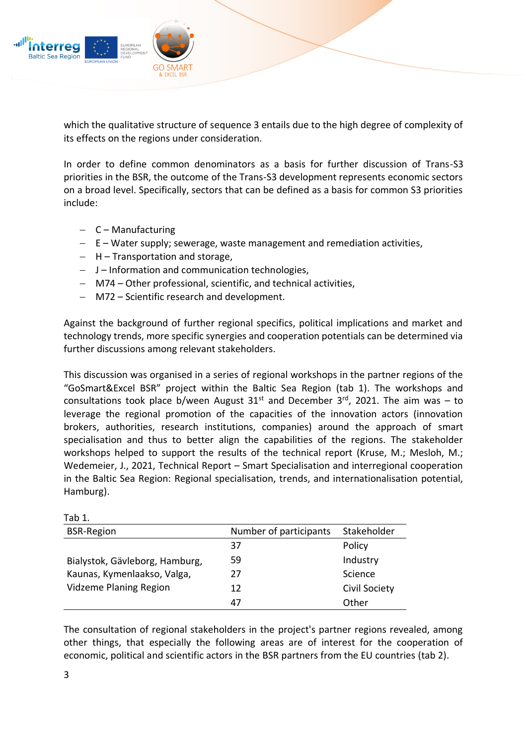

which the qualitative structure of sequence 3 entails due to the high degree of complexity of its effects on the regions under consideration.

In order to define common denominators as a basis for further discussion of Trans-S3 priorities in the BSR, the outcome of the Trans-S3 development represents economic sectors on a broad level. Specifically, sectors that can be defined as a basis for common S3 priorities include:

- − C Manufacturing
- − E Water supply; sewerage, waste management and remediation activities,
- − H Transportation and storage,
- − J Information and communication technologies,
- − M74 Other professional, scientific, and technical activities,
- − M72 Scientific research and development.

Against the background of further regional specifics, political implications and market and technology trends, more specific synergies and cooperation potentials can be determined via further discussions among relevant stakeholders.

This discussion was organised in a series of regional workshops in the partner regions of the "GoSmart&Excel BSR" project within the Baltic Sea Region (tab 1). The workshops and consultations took place b/ween August  $31^{st}$  and December  $3^{rd}$ , 2021. The aim was – to leverage the regional promotion of the capacities of the innovation actors (innovation brokers, authorities, research institutions, companies) around the approach of smart specialisation and thus to better align the capabilities of the regions. The stakeholder workshops helped to support the results of the technical report (Kruse, M.; Mesloh, M.; Wedemeier, J., 2021, Technical Report – Smart Specialisation and interregional cooperation in the Baltic Sea Region: Regional specialisation, trends, and internationalisation potential, Hamburg).

| <b>BSR-Region</b>              | Number of participants | Stakeholder   |
|--------------------------------|------------------------|---------------|
|                                | 37                     | Policy        |
| Bialystok, Gävleborg, Hamburg, | 59                     | Industry      |
| Kaunas, Kymenlaakso, Valga,    | 77                     | Science       |
| Vidzeme Planing Region         | 12                     | Civil Society |
|                                | 47                     | Other         |

The consultation of regional stakeholders in the project's partner regions revealed, among other things, that especially the following areas are of interest for the cooperation of economic, political and scientific actors in the BSR partners from the EU countries (tab 2).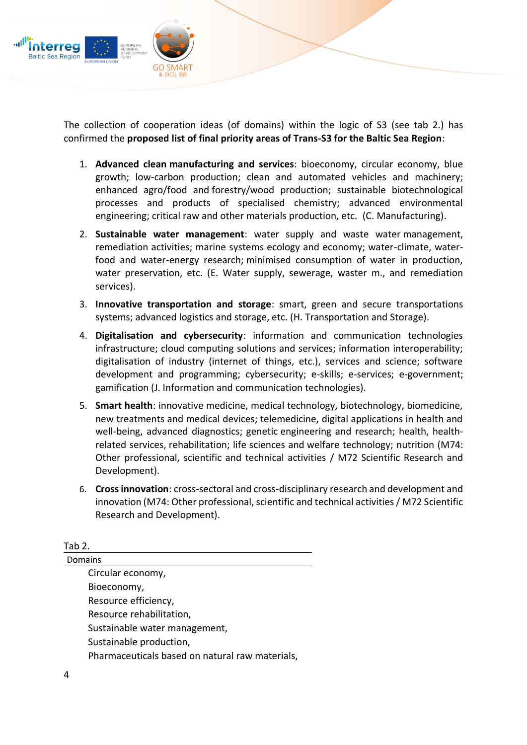

The collection of cooperation ideas (of domains) within the logic of S3 (see tab 2.) has confirmed the **proposed list of final priority areas of Trans-S3 for the Baltic Sea Region**:

- 1. **Advanced clean manufacturing and services**: bioeconomy, circular economy, blue growth; low-carbon production; clean and automated vehicles and machinery; enhanced agro/food and forestry/wood production; sustainable biotechnological processes and products of specialised chemistry; advanced environmental engineering; critical raw and other materials production, etc. (C. Manufacturing).
- 2. **Sustainable water management**: water supply and waste water management, remediation activities; marine systems ecology and economy; water-climate, waterfood and water-energy research; minimised consumption of water in production, water preservation, etc. (E. Water supply, sewerage, waster m., and remediation services).
- 3. **Innovative transportation and storage**: smart, green and secure transportations systems; advanced logistics and storage, etc. (H. Transportation and Storage).
- 4. **Digitalisation and cybersecurity**: information and communication technologies infrastructure; cloud computing solutions and services; information interoperability; digitalisation of industry (internet of things, etc.), services and science; software development and programming; cybersecurity; e-skills; e-services; e-government; gamification (J. Information and communication technologies).
- 5. **Smart health**: innovative medicine, medical technology, biotechnology, biomedicine, new treatments and medical devices; telemedicine, digital applications in health and well-being, advanced diagnostics; genetic engineering and research; health, healthrelated services, rehabilitation; life sciences and welfare technology; nutrition (M74: Other professional, scientific and technical activities / M72 Scientific Research and Development).
- 6. **Cross innovation**: cross-sectoral and cross-disciplinary research and development and innovation (M74: Other professional, scientific and technical activities / M72 Scientific Research and Development).

Tab 2. Domains Circular economy, Bioeconomy, Resource efficiency, Resource rehabilitation, Sustainable water management, Sustainable production, Pharmaceuticals based on natural raw materials,